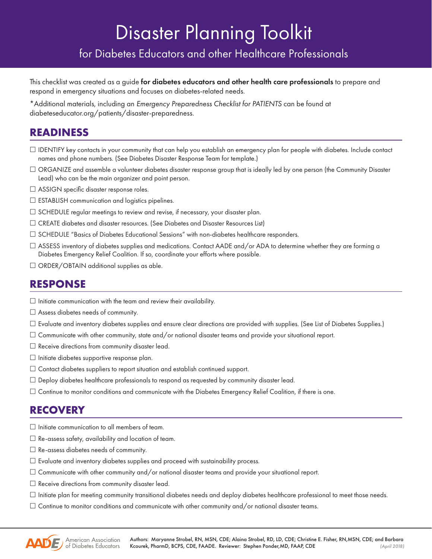# Disaster Planning Toolkit

for Diabetes Educators and other Healthcare Professionals

This checklist was created as a guide for diabetes educators and other health care professionals to prepare and respond in emergency situations and focuses on diabetes-related needs.

\*Additional materials, including an *Emergency Preparedness Checklist for PATIENTS* can be found at diabeteseducator.org/patients/disaster-preparedness.

### **READINESS**

- $\Box$  IDENTIFY key contacts in your community that can help you establish an emergency plan for people with diabetes. Include contact names and phone numbers. (See Diabetes Disaster Response Team for template.)
- $\Box$  ORGANIZE and assemble a volunteer diabetes disaster response group that is ideally led by one person (the Community Disaster Lead) who can be the main organizer and point person.
- □ ASSIGN specific disaster response roles.
- $\square$  ESTABLISH communication and logistics pipelines.
- $\Box$  SCHEDULE regular meetings to review and revise, if necessary, your disaster plan.
- CREATE diabetes and disaster resources. (See Diabetes and Disaster Resources List)
- SCHEDULE "Basics of Diabetes Educational Sessions" with non-diabetes healthcare responders.
- $\Box$  ASSESS inventory of diabetes supplies and medications. Contact AADE and/or ADA to determine whether they are forming a Diabetes Emergency Relief Coalition. If so, coordinate your efforts where possible.
- $\Box$  ORDER/OBTAIN additional supplies as able.

#### **RESPONSE**

- $\Box$  Initiate communication with the team and review their availability.
- $\Box$  Assess diabetes needs of community.
- $\Box$  Evaluate and inventory diabetes supplies and ensure clear directions are provided with supplies. (See List of Diabetes Supplies.)
- $\Box$  Communicate with other community, state and/or national disaster teams and provide your situational report.
- $\square$  Receive directions from community disaster lead.
- $\Box$  Initiate diabetes supportive response plan.
- Contact diabetes suppliers to report situation and establish continued support.
- $\Box$  Deploy diabetes healthcare professionals to respond as requested by community disaster lead.
- $\Box$  Continue to monitor conditions and communicate with the Diabetes Emergency Relief Coalition, if there is one.

## **RECOVERY**

- $\square$  Initiate communication to all members of team.
- $\Box$  Re-assess safety, availability and location of team.
- $\Box$  Re-assess diabetes needs of community.
- $\Box$  Evaluate and inventory diabetes supplies and proceed with sustainability process.
- $\Box$  Communicate with other community and/or national disaster teams and provide your situational report.
- $\Box$  Receive directions from community disaster lead.
- $\Box$  Initiate plan for meeting community transitional diabetes needs and deploy diabetes healthcare professional to meet those needs.
- $\Box$  Continue to monitor conditions and communicate with other community and/or national disaster teams.